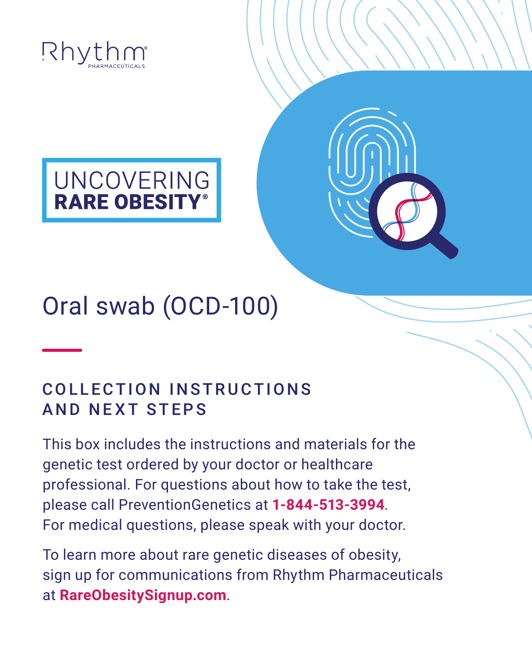

# UNCOVERING<br>RARE OBESITY®

## Oral swab (OCD-100)

#### COLLECTION INSTRUCTIONS AND NEXT STEPS

This box includes the instructions and materials for the genetic test ordered by your doctor or healthcare professional. For questions about how to take the test, please call PreventionGenetics at **[1-844-513-3994](tel:18445133994)**. For medical questions, please speak with your doctor.

To learn more about rare genetic diseases of obesity, sign up for communications from Rhythm Pharmaceuticals at **[RareObesitySignup.com](https://rareobesitysignup.com)**.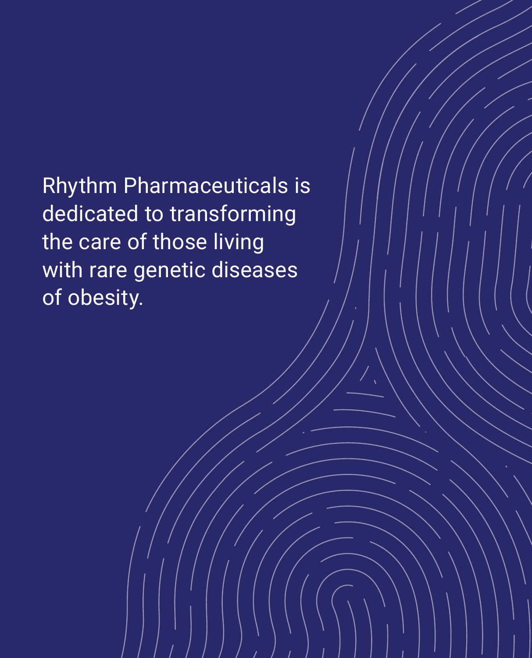Rhythm Pharmaceuticals is dedicated to transforming the care of those living with rare genetic diseases of obesity.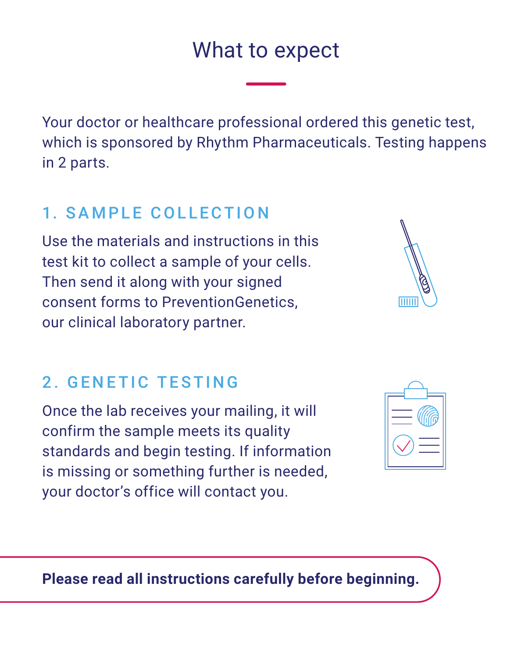### What to expect

Your doctor or healthcare professional ordered this genetic test, which is sponsored by Rhythm Pharmaceuticals. Testing happens in 2 parts.

#### 1. SAMPLE COLLECTION

Use the materials and instructions in this test kit to collect a sample of your cells. Then send it along with your signed consent forms to PreventionGenetics, our clinical laboratory partner.

#### 2. GENETIC TESTING

Once the lab receives your mailing, it will confirm the sample meets its quality standards and begin testing. If information is missing or something further is needed, your doctor's office will contact you.



mm

**Please read all instructions carefully before beginning.**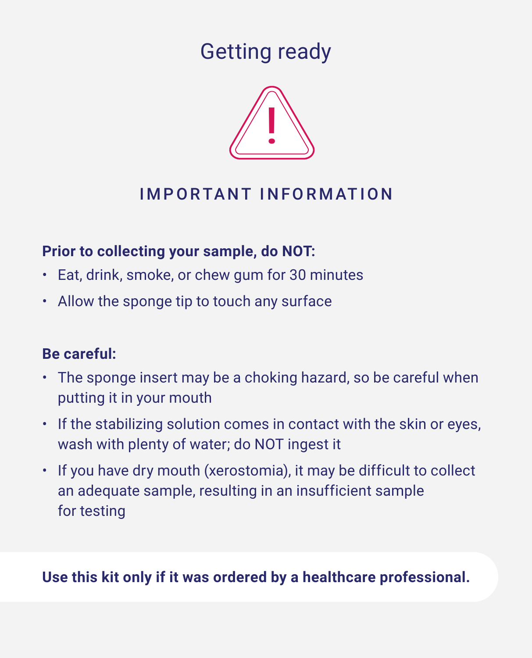Getting ready



#### IMPORTANT INFORMATION

#### **Prior to collecting your sample, do NOT:**

- Eat, drink, smoke, or chew gum for 30 minutes
- Allow the sponge tip to touch any surface

#### **Be careful:**

- The sponge insert may be a choking hazard, so be careful when putting it in your mouth
- If the stabilizing solution comes in contact with the skin or eyes, wash with plenty of water; do NOT ingest it
- If you have dry mouth (xerostomia), it may be difficult to collect an adequate sample, resulting in an insufficient sample for testing

#### **Use this kit only if it was ordered by a healthcare professional.**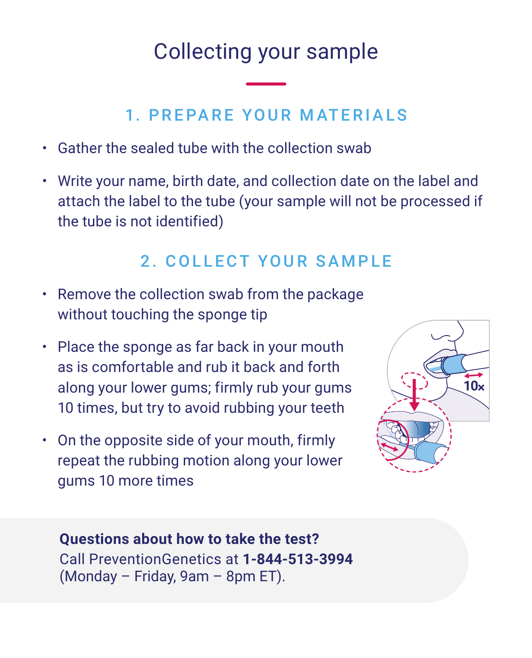## Collecting your sample

#### 1. PREPARE YOUR MATERIALS

- Gather the sealed tube with the collection swab
- Write your name, birth date, and collection date on the label and attach the label to the tube (your sample will not be processed if the tube is not identified)

#### 2. COLLECT YOUR SAMPLE

- Remove the collection swab from the package without touching the sponge tip
- Place the sponge as far back in your mouth as is comfortable and rub it back and forth along your lower gums; firmly rub your gums 10 times, but try to avoid rubbing your teeth
- On the opposite side of your mouth, firmly repeat the rubbing motion along your lower gums 10 more times



#### **Questions about how to take the test?** Call PreventionGenetics at **[1-844-513-3994](tel:18445133994)**

(Monday – Friday, 9am – 8pm ET).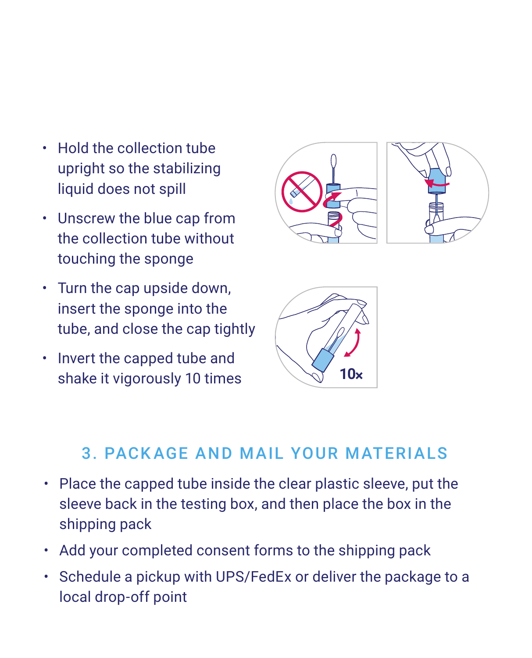- Hold the collection tube upright so the stabilizing liquid does not spill
- Unscrew the blue cap from the collection tube without touching the sponge
- Turn the cap upside down, insert the sponge into the tube, and close the cap tightly
- Invert the capped tube and shake it vigorously 10 times **10x**





#### 3. PACKAGE AND MAIL YOUR MATERIALS

- Place the capped tube inside the clear plastic sleeve, put the sleeve back in the testing box, and then place the box in the shipping pack
- Add your completed consent forms to the shipping pack
- Schedule a pickup with UPS/FedEx or deliver the package to a local drop-off point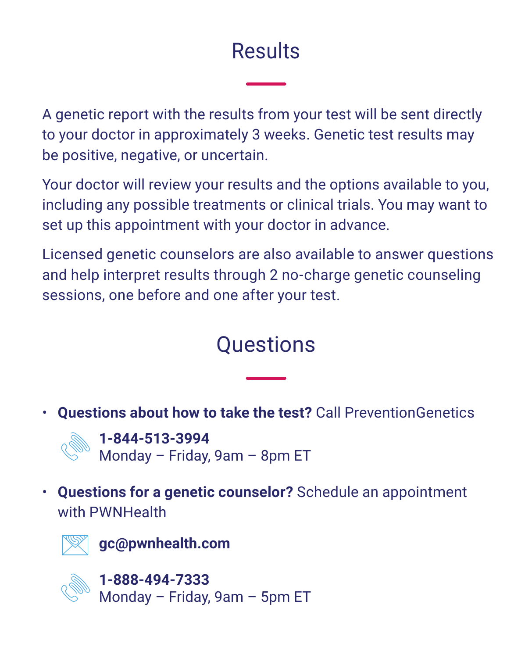## **Results**

A genetic report with the results from your test will be sent directly to your doctor in approximately 3 weeks. Genetic test results may be positive, negative, or uncertain.

Your doctor will review your results and the options available to you, including any possible treatments or clinical trials. You may want to set up this appointment with your doctor in advance.

Licensed genetic counselors are also available to answer questions and help interpret results through 2 no-charge genetic counseling sessions, one before and one after your test.

## **Questions**

• **Questions about how to take the test?** Call PreventionGenetics



**[1-844-513-3994](tel:18445133994)** Monday – Friday, 9am – 8pm ET

• **Questions for a genetic counselor?** Schedule an appointment with PWNHealth



**[gc@pwnhealth.com](mailto:gc@pwnhealth.com)**



**[1-888-494-7333](tel:18884947333)** Monday – Friday, 9am – 5pm ET